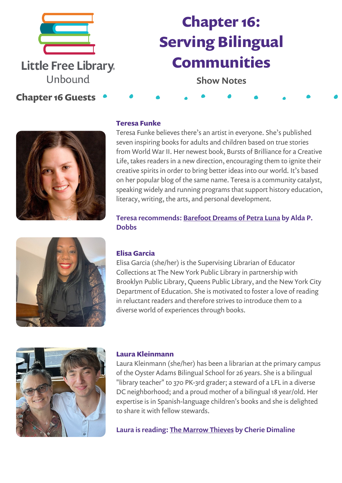

# **Chapter 16: Serving Bilingual Communities**

Show Notes

## **Chapter 16 Guests**



### **Teresa Funke**

Teresa Funke believes there's an artist in everyone. She's published seven inspiring books for adults and children based on true stories from World War II. Her newest book, Bursts of Brilliance for a Creative Life, takes readers in a new direction, encouraging them to ignite their creative spirits in order to bring better ideas into our world. It's based on her popular blog of the same name. Teresa is a community catalyst, speaking widely and running programs that support history education, literacy, writing, the arts, and personal development.

Teresa recommends: [Barefoot](https://bookshop.org/a/54634/9781728234656) Dreams of Petra Luna by Alda P. **Dobbs** 

#### **Elisa Garcia**

Elisa Garcia (she/her) is the Supervising Librarian of Educator Collections at The New York Public Library in partnership with Brooklyn Public Library, Queens Public Library, and the New York City Department of Education. She is motivated to foster a love of reading in reluctant readers and therefore strives to introduce them to a diverse world of experiences through books.



#### **Laura Kleinmann**

Laura Kleinmann (she/her) has been a librarian at the primary campus of the Oyster Adams Bilingual School for 26 years. She is a bilingual "library teacher" to 370 PK-3rd grader; a steward of a LFL in a diverse DC neighborhood; and a proud mother of a bilingual 18 year/old. Her expertise is in Spanish-language children's books and she is delighted to share it with fellow stewards.

Laura is reading: The [Marrow](https://bookshop.org/a/54634/9781770864863) Thieves by Cherie Dimaline